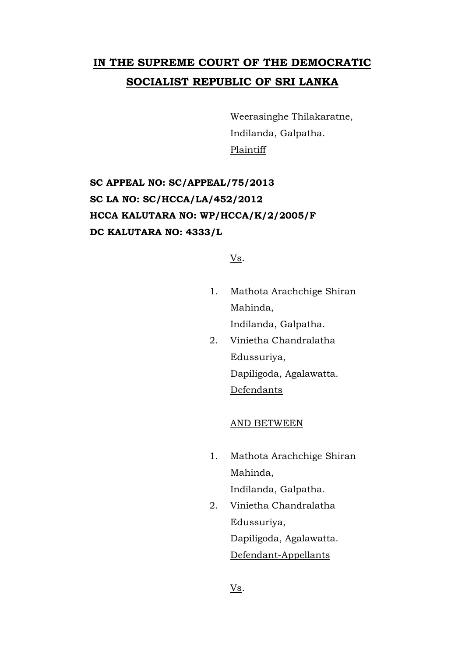## **IN THE SUPREME COURT OF THE DEMOCRATIC SOCIALIST REPUBLIC OF SRI LANKA**

Weerasinghe Thilakaratne, Indilanda, Galpatha. Plaintiff

## **SC APPEAL NO: SC/APPEAL/75/2013 SC LA NO: SC/HCCA/LA/452/2012 HCCA KALUTARA NO: WP/HCCA/K/2/2005/F DC KALUTARA NO: 4333/L**

Vs.

- 1. Mathota Arachchige Shiran Mahinda, Indilanda, Galpatha.
- 2. Vinietha Chandralatha Edussuriya, Dapiligoda, Agalawatta. Defendants

## AND BETWEEN

1. Mathota Arachchige Shiran Mahinda,

Indilanda, Galpatha.

2. Vinietha Chandralatha Edussuriya, Dapiligoda, Agalawatta. Defendant-Appellants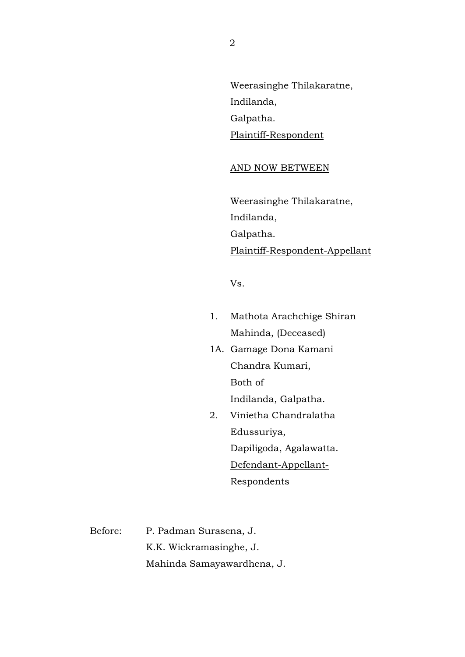Weerasinghe Thilakaratne, Indilanda, Galpatha. Plaintiff-Respondent

## AND NOW BETWEEN

Weerasinghe Thilakaratne, Indilanda, Galpatha. Plaintiff-Respondent-Appellant

Vs.

- 1. Mathota Arachchige Shiran Mahinda, (Deceased)
- 1A. Gamage Dona Kamani Chandra Kumari, Both of Indilanda, Galpatha.
- 2. Vinietha Chandralatha Edussuriya, Dapiligoda, Agalawatta. Defendant-Appellant-**Respondents**

Before: P. Padman Surasena, J. K.K. Wickramasinghe, J. Mahinda Samayawardhena, J.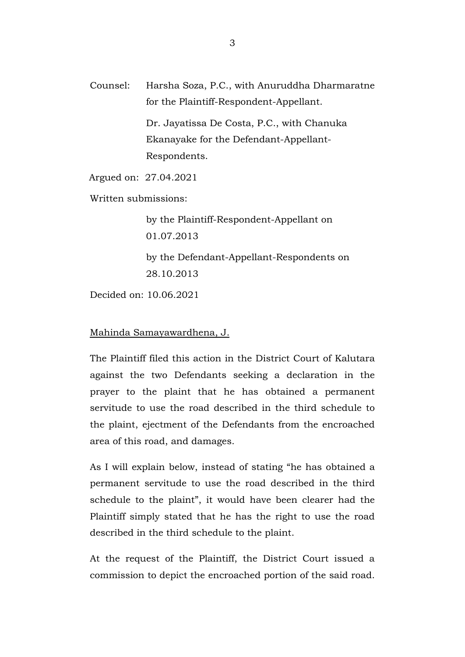Counsel: Harsha Soza, P.C., with Anuruddha Dharmaratne for the Plaintiff-Respondent-Appellant.

> Dr. Jayatissa De Costa, P.C., with Chanuka Ekanayake for the Defendant-Appellant-Respondents.

Argued on: 27.04.2021

Written submissions:

by the Plaintiff-Respondent-Appellant on 01.07.2013 by the Defendant-Appellant-Respondents on 28.10.2013

Decided on: 10.06.2021

Mahinda Samayawardhena, J.

The Plaintiff filed this action in the District Court of Kalutara against the two Defendants seeking a declaration in the prayer to the plaint that he has obtained a permanent servitude to use the road described in the third schedule to the plaint, ejectment of the Defendants from the encroached area of this road, and damages.

As I will explain below, instead of stating "he has obtained a permanent servitude to use the road described in the third schedule to the plaint", it would have been clearer had the Plaintiff simply stated that he has the right to use the road described in the third schedule to the plaint.

At the request of the Plaintiff, the District Court issued a commission to depict the encroached portion of the said road.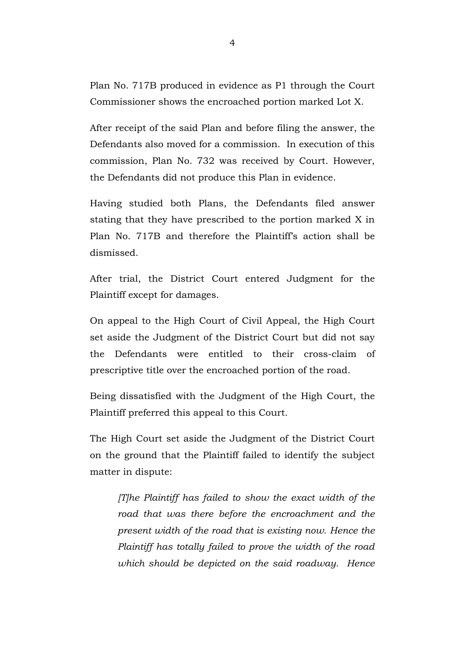Plan No. 717B produced in evidence as P1 through the Court Commissioner shows the encroached portion marked Lot X.

After receipt of the said Plan and before filing the answer, the Defendants also moved for a commission. In execution of this commission, Plan No. 732 was received by Court. However, the Defendants did not produce this Plan in evidence.

Having studied both Plans, the Defendants filed answer stating that they have prescribed to the portion marked X in Plan No. 717B and therefore the Plaintiff's action shall be dismissed.

After trial, the District Court entered Judgment for the Plaintiff except for damages.

On appeal to the High Court of Civil Appeal, the High Court set aside the Judgment of the District Court but did not say the Defendants were entitled to their cross-claim of prescriptive title over the encroached portion of the road.

Being dissatisfied with the Judgment of the High Court, the Plaintiff preferred this appeal to this Court.

The High Court set aside the Judgment of the District Court on the ground that the Plaintiff failed to identify the subject matter in dispute:

*[T]he Plaintiff has failed to show the exact width of the road that was there before the encroachment and the present width of the road that is existing now. Hence the Plaintiff has totally failed to prove the width of the road which should be depicted on the said roadway. Hence*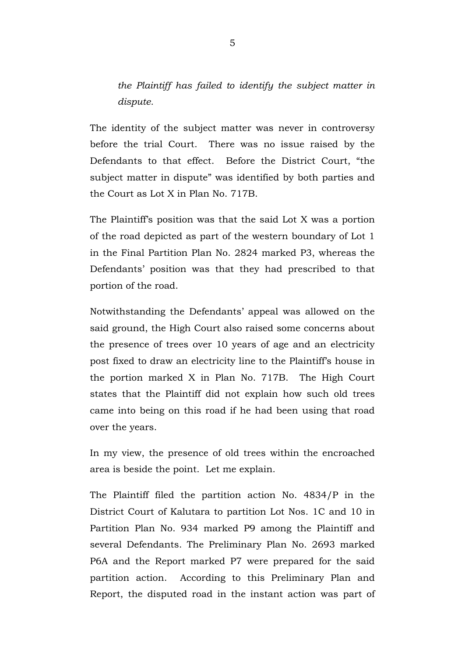*the Plaintiff has failed to identify the subject matter in dispute.*

The identity of the subject matter was never in controversy before the trial Court. There was no issue raised by the Defendants to that effect. Before the District Court, "the subject matter in dispute" was identified by both parties and the Court as Lot X in Plan No. 717B.

The Plaintiff's position was that the said Lot X was a portion of the road depicted as part of the western boundary of Lot 1 in the Final Partition Plan No. 2824 marked P3, whereas the Defendants' position was that they had prescribed to that portion of the road.

Notwithstanding the Defendants' appeal was allowed on the said ground, the High Court also raised some concerns about the presence of trees over 10 years of age and an electricity post fixed to draw an electricity line to the Plaintiff's house in the portion marked X in Plan No. 717B. The High Court states that the Plaintiff did not explain how such old trees came into being on this road if he had been using that road over the years.

In my view, the presence of old trees within the encroached area is beside the point. Let me explain.

The Plaintiff filed the partition action No. 4834/P in the District Court of Kalutara to partition Lot Nos. 1C and 10 in Partition Plan No. 934 marked P9 among the Plaintiff and several Defendants. The Preliminary Plan No. 2693 marked P6A and the Report marked P7 were prepared for the said partition action. According to this Preliminary Plan and Report, the disputed road in the instant action was part of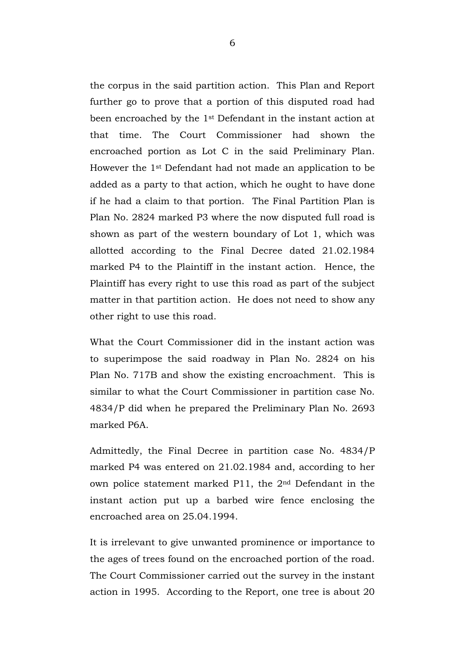the corpus in the said partition action. This Plan and Report further go to prove that a portion of this disputed road had been encroached by the 1st Defendant in the instant action at that time. The Court Commissioner had shown the encroached portion as Lot C in the said Preliminary Plan. However the 1st Defendant had not made an application to be added as a party to that action, which he ought to have done if he had a claim to that portion. The Final Partition Plan is Plan No. 2824 marked P3 where the now disputed full road is shown as part of the western boundary of Lot 1, which was allotted according to the Final Decree dated 21.02.1984 marked P4 to the Plaintiff in the instant action. Hence, the Plaintiff has every right to use this road as part of the subject matter in that partition action. He does not need to show any other right to use this road.

What the Court Commissioner did in the instant action was to superimpose the said roadway in Plan No. 2824 on his Plan No. 717B and show the existing encroachment. This is similar to what the Court Commissioner in partition case No. 4834/P did when he prepared the Preliminary Plan No. 2693 marked P6A.

Admittedly, the Final Decree in partition case No. 4834/P marked P4 was entered on 21.02.1984 and, according to her own police statement marked P11, the 2nd Defendant in the instant action put up a barbed wire fence enclosing the encroached area on 25.04.1994.

It is irrelevant to give unwanted prominence or importance to the ages of trees found on the encroached portion of the road. The Court Commissioner carried out the survey in the instant action in 1995. According to the Report, one tree is about 20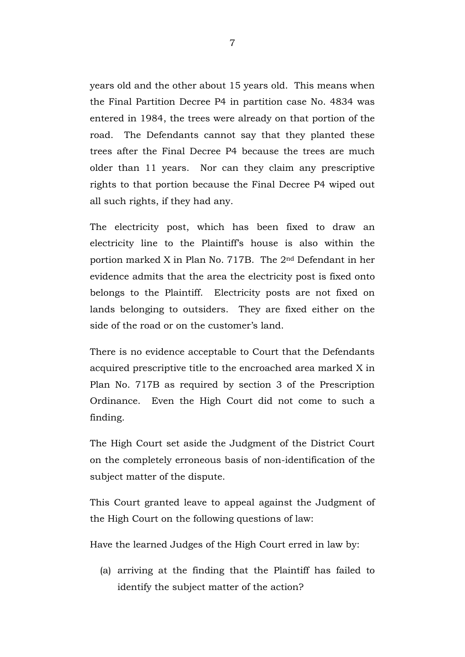years old and the other about 15 years old. This means when the Final Partition Decree P4 in partition case No. 4834 was entered in 1984, the trees were already on that portion of the road. The Defendants cannot say that they planted these trees after the Final Decree P4 because the trees are much older than 11 years. Nor can they claim any prescriptive rights to that portion because the Final Decree P4 wiped out all such rights, if they had any.

The electricity post, which has been fixed to draw an electricity line to the Plaintiff's house is also within the portion marked X in Plan No. 717B. The 2nd Defendant in her evidence admits that the area the electricity post is fixed onto belongs to the Plaintiff. Electricity posts are not fixed on lands belonging to outsiders. They are fixed either on the side of the road or on the customer's land.

There is no evidence acceptable to Court that the Defendants acquired prescriptive title to the encroached area marked X in Plan No. 717B as required by section 3 of the Prescription Ordinance. Even the High Court did not come to such a finding.

The High Court set aside the Judgment of the District Court on the completely erroneous basis of non-identification of the subject matter of the dispute.

This Court granted leave to appeal against the Judgment of the High Court on the following questions of law:

Have the learned Judges of the High Court erred in law by:

(a) arriving at the finding that the Plaintiff has failed to identify the subject matter of the action?